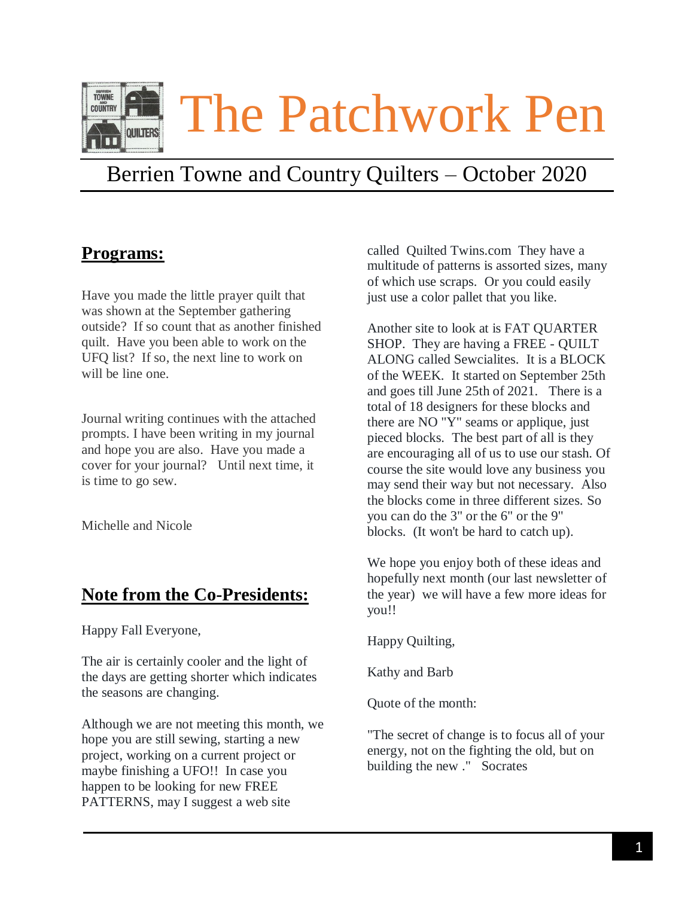

# Berrien Towne and Country Quilters – October 2020

#### **Programs:**

Have you made the little prayer quilt that was shown at the September gathering outside? If so count that as another finished quilt. Have you been able to work on the UFQ list? If so, the next line to work on will be line one.

Journal writing continues with the attached prompts. I have been writing in my journal and hope you are also. Have you made a cover for your journal? Until next time, it is time to go sew.

Michelle and Nicole

## **Note from the Co-Presidents:**

Happy Fall Everyone,

The air is certainly cooler and the light of the days are getting shorter which indicates the seasons are changing.

Although we are not meeting this month, we hope you are still sewing, starting a new project, working on a current project or maybe finishing a UFO!! In case you happen to be looking for new FREE PATTERNS, may I suggest a web site

called Quilted Twins.com They have a multitude of patterns is assorted sizes, many of which use scraps. Or you could easily just use a color pallet that you like.

Another site to look at is FAT QUARTER SHOP. They are having a FREE - QUILT ALONG called Sewcialites. It is a BLOCK of the WEEK. It started on September 25th and goes till June 25th of 2021. There is a total of 18 designers for these blocks and there are NO "Y" seams or applique, just pieced blocks. The best part of all is they are encouraging all of us to use our stash. Of course the site would love any business you may send their way but not necessary. Also the blocks come in three different sizes. So you can do the 3" or the 6" or the 9" blocks. (It won't be hard to catch up).

We hope you enjoy both of these ideas and hopefully next month (our last newsletter of the year) we will have a few more ideas for you!!

Happy Quilting,

Kathy and Barb

Quote of the month:

"The secret of change is to focus all of your energy, not on the fighting the old, but on building the new ." Socrates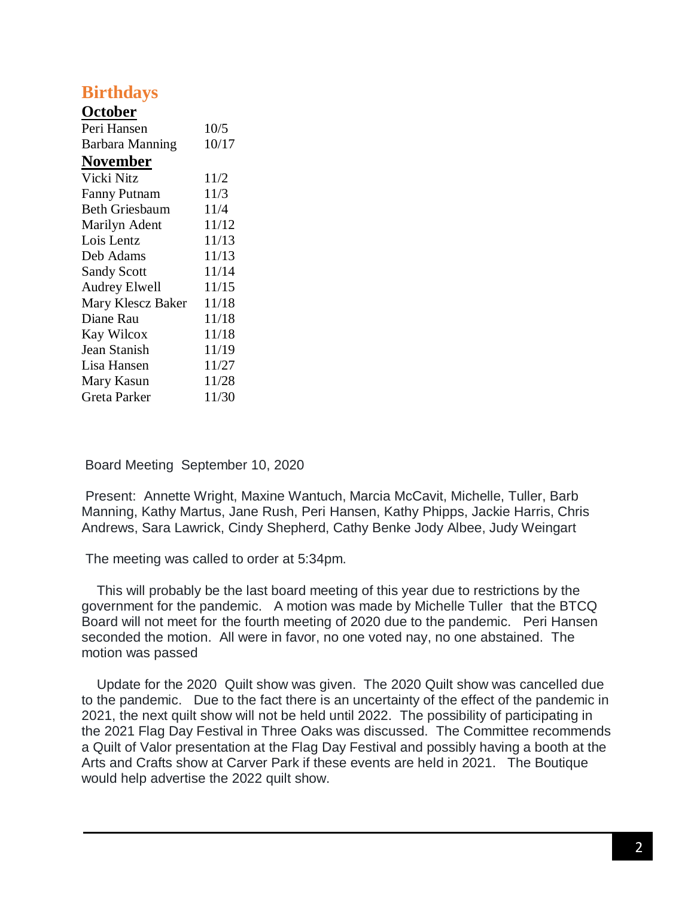### **Birthdays**

#### **October**

| Peri Hansen            | 10/5  |
|------------------------|-------|
| <b>Barbara Manning</b> | 10/17 |
| <b>November</b>        |       |
| Vicki Nitz             | 11/2  |
| <b>Fanny Putnam</b>    | 11/3  |
| <b>Beth Griesbaum</b>  | 11/4  |
| Marilyn Adent          | 11/12 |
| Lois Lentz             | 11/13 |
| Deb Adams              | 11/13 |
| <b>Sandy Scott</b>     | 11/14 |
| <b>Audrey Elwell</b>   | 11/15 |
| Mary Klescz Baker      | 11/18 |
| Diane Rau              | 11/18 |
| Kay Wilcox             | 11/18 |
| Jean Stanish           | 11/19 |
| Lisa Hansen            | 11/27 |
| Mary Kasun             | 11/28 |
| Greta Parker           | 11/30 |

Board Meeting September 10, 2020

Present: Annette Wright, Maxine Wantuch, Marcia McCavit, Michelle, Tuller, Barb Manning, Kathy Martus, Jane Rush, Peri Hansen, Kathy Phipps, Jackie Harris, Chris Andrews, Sara Lawrick, Cindy Shepherd, Cathy Benke Jody Albee, Judy Weingart

The meeting was called to order at 5:34pm.

 This will probably be the last board meeting of this year due to restrictions by the government for the pandemic. A motion was made by Michelle Tuller that the BTCQ Board will not meet for the fourth meeting of 2020 due to the pandemic. Peri Hansen seconded the motion. All were in favor, no one voted nay, no one abstained. The motion was passed

 Update for the 2020 Quilt show was given. The 2020 Quilt show was cancelled due to the pandemic. Due to the fact there is an uncertainty of the effect of the pandemic in 2021, the next quilt show will not be held until 2022. The possibility of participating in the 2021 Flag Day Festival in Three Oaks was discussed. The Committee recommends a Quilt of Valor presentation at the Flag Day Festival and possibly having a booth at the Arts and Crafts show at Carver Park if these events are held in 2021. The Boutique would help advertise the 2022 quilt show.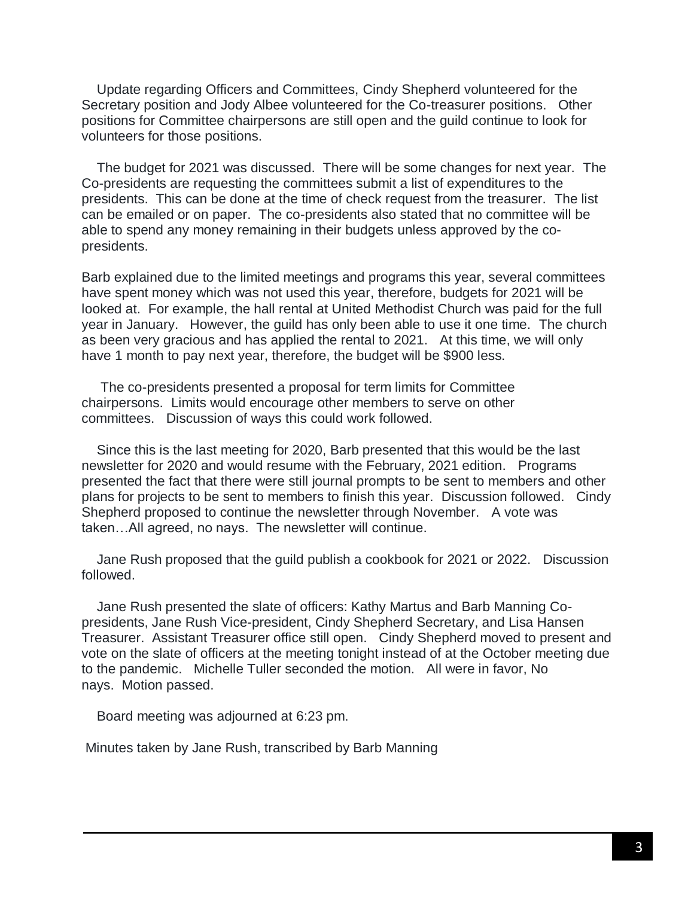Update regarding Officers and Committees, Cindy Shepherd volunteered for the Secretary position and Jody Albee volunteered for the Co-treasurer positions. Other positions for Committee chairpersons are still open and the guild continue to look for volunteers for those positions.

 The budget for 2021 was discussed. There will be some changes for next year. The Co-presidents are requesting the committees submit a list of expenditures to the presidents. This can be done at the time of check request from the treasurer. The list can be emailed or on paper. The co-presidents also stated that no committee will be able to spend any money remaining in their budgets unless approved by the copresidents.

Barb explained due to the limited meetings and programs this year, several committees have spent money which was not used this year, therefore, budgets for 2021 will be looked at. For example, the hall rental at United Methodist Church was paid for the full year in January. However, the guild has only been able to use it one time. The church as been very gracious and has applied the rental to 2021. At this time, we will only have 1 month to pay next year, therefore, the budget will be \$900 less.

 The co-presidents presented a proposal for term limits for Committee chairpersons. Limits would encourage other members to serve on other committees. Discussion of ways this could work followed.

 Since this is the last meeting for 2020, Barb presented that this would be the last newsletter for 2020 and would resume with the February, 2021 edition. Programs presented the fact that there were still journal prompts to be sent to members and other plans for projects to be sent to members to finish this year. Discussion followed. Cindy Shepherd proposed to continue the newsletter through November. A vote was taken…All agreed, no nays. The newsletter will continue.

 Jane Rush proposed that the guild publish a cookbook for 2021 or 2022. Discussion followed.

 Jane Rush presented the slate of officers: Kathy Martus and Barb Manning Copresidents, Jane Rush Vice-president, Cindy Shepherd Secretary, and Lisa Hansen Treasurer. Assistant Treasurer office still open. Cindy Shepherd moved to present and vote on the slate of officers at the meeting tonight instead of at the October meeting due to the pandemic. Michelle Tuller seconded the motion. All were in favor, No nays. Motion passed.

Board meeting was adjourned at 6:23 pm.

Minutes taken by Jane Rush, transcribed by Barb Manning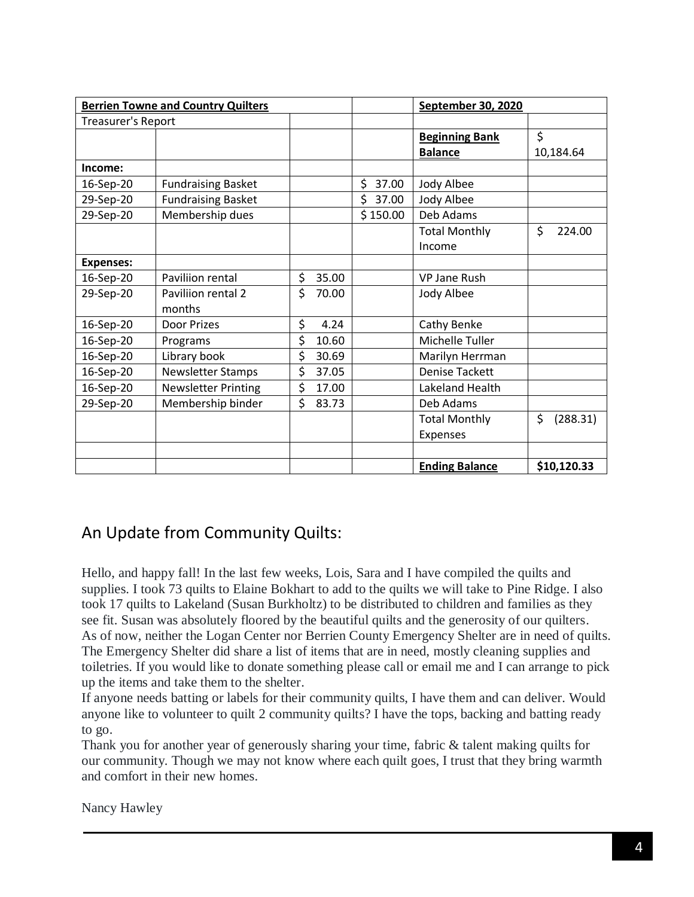| <b>Berrien Towne and Country Quilters</b> |                            |             | September 30, 2020 |                       |                |
|-------------------------------------------|----------------------------|-------------|--------------------|-----------------------|----------------|
| <b>Treasurer's Report</b>                 |                            |             |                    |                       |                |
|                                           |                            |             |                    | <b>Beginning Bank</b> | \$             |
|                                           |                            |             |                    | <b>Balance</b>        | 10,184.64      |
| Income:                                   |                            |             |                    |                       |                |
| 16-Sep-20                                 | <b>Fundraising Basket</b>  |             | \$<br>37.00        | Jody Albee            |                |
| 29-Sep-20                                 | <b>Fundraising Basket</b>  |             | \$<br>37.00        | Jody Albee            |                |
| 29-Sep-20                                 | Membership dues            |             | \$150.00           | Deb Adams             |                |
|                                           |                            |             |                    | <b>Total Monthly</b>  | \$<br>224.00   |
|                                           |                            |             |                    | Income                |                |
| <b>Expenses:</b>                          |                            |             |                    |                       |                |
| 16-Sep-20                                 | Paviliion rental           | \$<br>35.00 |                    | <b>VP Jane Rush</b>   |                |
| 29-Sep-20                                 | Pavilijon rental 2         | \$<br>70.00 |                    | Jody Albee            |                |
|                                           | months                     |             |                    |                       |                |
| 16-Sep-20                                 | Door Prizes                | \$<br>4.24  |                    | Cathy Benke           |                |
| 16-Sep-20                                 | Programs                   | \$<br>10.60 |                    | Michelle Tuller       |                |
| 16-Sep-20                                 | Library book               | \$<br>30.69 |                    | Marilyn Herrman       |                |
| 16-Sep-20                                 | <b>Newsletter Stamps</b>   | \$<br>37.05 |                    | <b>Denise Tackett</b> |                |
| 16-Sep-20                                 | <b>Newsletter Printing</b> | \$<br>17.00 |                    | Lakeland Health       |                |
| 29-Sep-20                                 | Membership binder          | \$<br>83.73 |                    | Deb Adams             |                |
|                                           |                            |             |                    | <b>Total Monthly</b>  | \$<br>(288.31) |
|                                           |                            |             |                    | Expenses              |                |
|                                           |                            |             |                    |                       |                |
|                                           |                            |             |                    | <b>Ending Balance</b> | \$10,120.33    |

#### An Update from Community Quilts:

Hello, and happy fall! In the last few weeks, Lois, Sara and I have compiled the quilts and supplies. I took 73 quilts to Elaine Bokhart to add to the quilts we will take to Pine Ridge. I also took 17 quilts to Lakeland (Susan Burkholtz) to be distributed to children and families as they see fit. Susan was absolutely floored by the beautiful quilts and the generosity of our quilters. As of now, neither the Logan Center nor Berrien County Emergency Shelter are in need of quilts. The Emergency Shelter did share a list of items that are in need, mostly cleaning supplies and toiletries. If you would like to donate something please call or email me and I can arrange to pick up the items and take them to the shelter.

If anyone needs batting or labels for their community quilts, I have them and can deliver. Would anyone like to volunteer to quilt 2 community quilts? I have the tops, backing and batting ready to go.

Thank you for another year of generously sharing your time, fabric & talent making quilts for our community. Though we may not know where each quilt goes, I trust that they bring warmth and comfort in their new homes.

Nancy Hawley